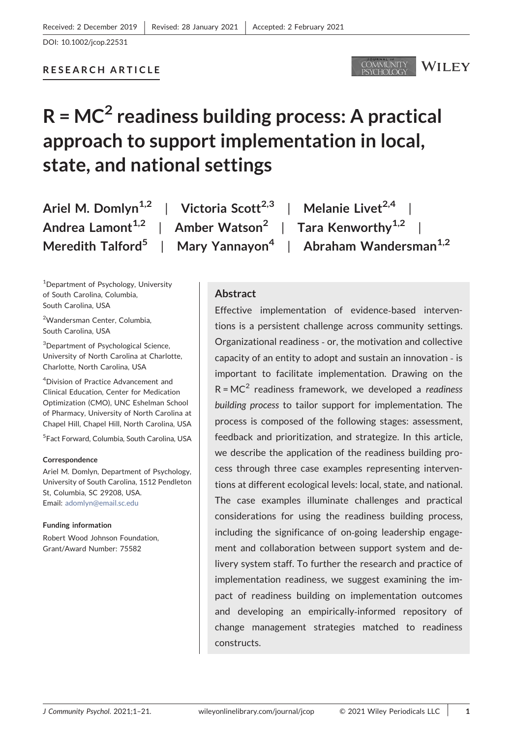

# $R = MC<sup>2</sup>$  readiness building process: A practical approach to support implementation in local, state, and national settings

Ariel M. Domlyn<sup>1,2</sup> | Victoria Scott<sup>2,3</sup> | Melanie Livet<sup>2,4</sup> | Andrea Lamont<sup>1,2</sup> | Amber Watson<sup>2</sup> | Tara Kenworthy<sup>1,2</sup>

Meredith Talford<sup>5</sup> | Mary Yannayon<sup>4</sup> | Abraham Wandersman<sup>1,2</sup>

1 Department of Psychology, University of South Carolina, Columbia, South Carolina, USA

2 Wandersman Center, Columbia, South Carolina, USA

<sup>3</sup>Department of Psychological Science, University of North Carolina at Charlotte, Charlotte, North Carolina, USA

4 Division of Practice Advancement and Clinical Education, Center for Medication Optimization (CMO), UNC Eshelman School of Pharmacy, University of North Carolina at Chapel Hill, Chapel Hill, North Carolina, USA

5 Fact Forward, Columbia, South Carolina, USA

#### Correspondence

Ariel M. Domlyn, Department of Psychology, University of South Carolina, 1512 Pendleton St, Columbia, SC 29208, USA. Email: [adomlyn@email.sc.edu](mailto:adomlyn@email.sc.edu)

#### Funding information

Robert Wood Johnson Foundation, Grant/Award Number: 75582

#### Abstract

Effective implementation of evidence-based interventions is a persistent challenge across community settings. Organizational readiness ‐ or, the motivation and collective capacity of an entity to adopt and sustain an innovation ‐ is important to facilitate implementation. Drawing on the  $R = MC<sup>2</sup>$  readiness framework, we developed a readiness building process to tailor support for implementation. The process is composed of the following stages: assessment, feedback and prioritization, and strategize. In this article, we describe the application of the readiness building process through three case examples representing interventions at different ecological levels: local, state, and national. The case examples illuminate challenges and practical considerations for using the readiness building process, including the significance of on‐going leadership engagement and collaboration between support system and delivery system staff. To further the research and practice of implementation readiness, we suggest examining the impact of readiness building on implementation outcomes and developing an empirically‐informed repository of change management strategies matched to readiness constructs.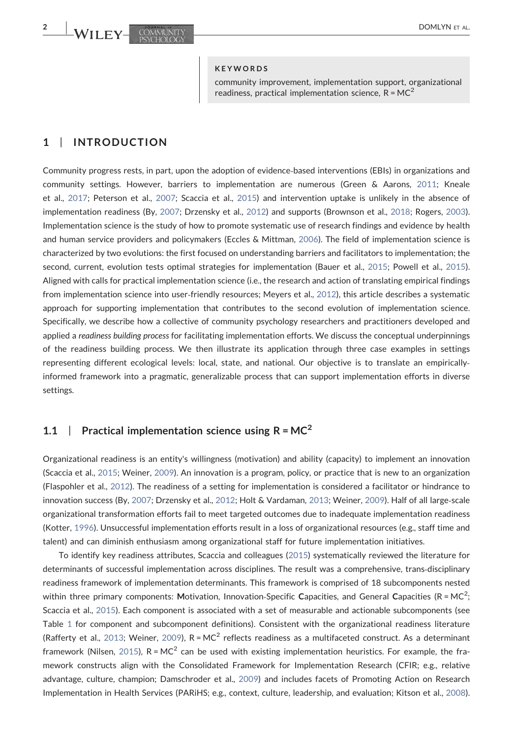#### KEYWORDS

community improvement, implementation support, organizational readiness, practical implementation science,  $R = MC^2$ 

## 1 | INTRODUCTION

Community progress rests, in part, upon the adoption of evidence‐based interventions (EBIs) in organizations and community settings. However, barriers to implementation are numerous (Green & Aarons, [2011;](#page-19-0) Kneale et al., [2017;](#page-19-1) Peterson et al., [2007;](#page-20-0) Scaccia et al., [2015\)](#page-20-1) and intervention uptake is unlikely in the absence of implementation readiness (By, [2007;](#page-18-0) Drzensky et al., [2012](#page-19-2)) and supports (Brownson et al., [2018;](#page-18-1) Rogers, [2003](#page-20-2)). Implementation science is the study of how to promote systematic use of research findings and evidence by health and human service providers and policymakers (Eccles & Mittman, [2006\)](#page-19-3). The field of implementation science is characterized by two evolutions: the first focused on understanding barriers and facilitators to implementation; the second, current, evolution tests optimal strategies for implementation (Bauer et al., [2015](#page-20-3); Powell et al., 2015). Aligned with calls for practical implementation science (i.e., the research and action of translating empirical findings from implementation science into user-friendly resources; Meyers et al., [2012\)](#page-19-4), this article describes a systematic approach for supporting implementation that contributes to the second evolution of implementation science. Specifically, we describe how a collective of community psychology researchers and practitioners developed and applied a readiness building process for facilitating implementation efforts. We discuss the conceptual underpinnings of the readiness building process. We then illustrate its application through three case examples in settings representing different ecological levels: local, state, and national. Our objective is to translate an empirically‐ informed framework into a pragmatic, generalizable process that can support implementation efforts in diverse settings.

## 1.1 | Practical implementation science using  $R = MC^2$

Organizational readiness is an entity's willingness (motivation) and ability (capacity) to implement an innovation (Scaccia et al., [2015](#page-20-1); Weiner, [2009](#page-20-4)). An innovation is a program, policy, or practice that is new to an organization (Flaspohler et al., [2012\)](#page-19-5). The readiness of a setting for implementation is considered a facilitator or hindrance to innovation success (By, [2007;](#page-18-0) Drzensky et al., [2012](#page-19-2); Holt & Vardaman, [2013;](#page-19-6) Weiner, [2009\)](#page-20-4). Half of all large-scale organizational transformation efforts fail to meet targeted outcomes due to inadequate implementation readiness (Kotter, [1996\)](#page-19-7). Unsuccessful implementation efforts result in a loss of organizational resources (e.g., staff time and talent) and can diminish enthusiasm among organizational staff for future implementation initiatives.

To identify key readiness attributes, Scaccia and colleagues ([2015](#page-20-1)) systematically reviewed the literature for determinants of successful implementation across disciplines. The result was a comprehensive, trans‐disciplinary readiness framework of implementation determinants. This framework is comprised of 18 subcomponents nested within three primary components: Motivation, Innovation-Specific Capacities, and General Capacities (R = MC<sup>2</sup>; Scaccia et al., [2015](#page-20-1)). Each component is associated with a set of measurable and actionable subcomponents (see Table [1](#page-2-0) for component and subcomponent definitions). Consistent with the organizational readiness literature (Rafferty et al., [2013;](#page-20-5) Weiner, [2009](#page-20-4)),  $R = MC^2$  reflects readiness as a multifaceted construct. As a determinant framework (Nilsen, [2015\)](#page-19-8),  $R = MC^2$  can be used with existing implementation heuristics. For example, the framework constructs align with the Consolidated Framework for Implementation Research (CFIR; e.g., relative advantage, culture, champion; Damschroder et al., [2009](#page-18-3)) and includes facets of Promoting Action on Research Implementation in Health Services (PARiHS; e.g., context, culture, leadership, and evaluation; Kitson et al., [2008](#page-19-9)).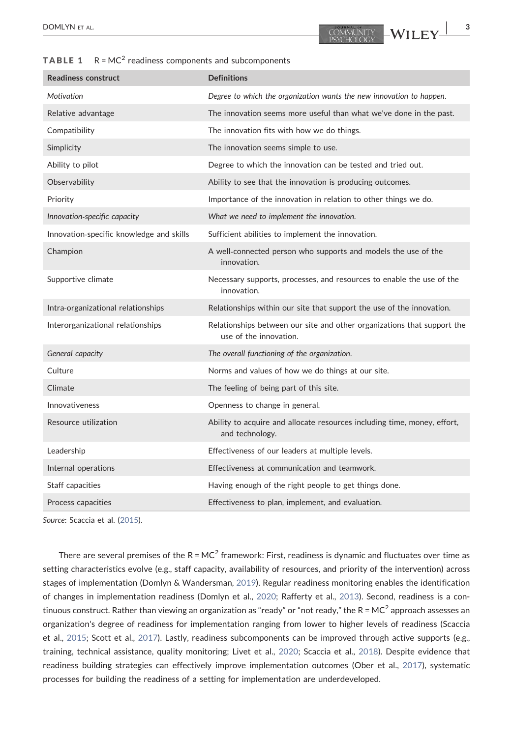#### <span id="page-2-0"></span>**TABLE 1**  $R = MC^2$  readiness components and subcomponents

| <b>Readiness construct</b>               | <b>Definitions</b>                                                                                |  |
|------------------------------------------|---------------------------------------------------------------------------------------------------|--|
| Motivation                               | Degree to which the organization wants the new innovation to happen.                              |  |
| Relative advantage                       | The innovation seems more useful than what we've done in the past.                                |  |
| Compatibility                            | The innovation fits with how we do things.                                                        |  |
| Simplicity                               | The innovation seems simple to use.                                                               |  |
| Ability to pilot                         | Degree to which the innovation can be tested and tried out.                                       |  |
| Observability                            | Ability to see that the innovation is producing outcomes.                                         |  |
| Priority                                 | Importance of the innovation in relation to other things we do.                                   |  |
| Innovation-specific capacity             | What we need to implement the innovation.                                                         |  |
| Innovation-specific knowledge and skills | Sufficient abilities to implement the innovation.                                                 |  |
| Champion                                 | A well-connected person who supports and models the use of the<br>innovation.                     |  |
| Supportive climate                       | Necessary supports, processes, and resources to enable the use of the<br>innovation.              |  |
| Intra-organizational relationships       | Relationships within our site that support the use of the innovation.                             |  |
| Interorganizational relationships        | Relationships between our site and other organizations that support the<br>use of the innovation. |  |
| General capacity                         | The overall functioning of the organization.                                                      |  |
| Culture                                  | Norms and values of how we do things at our site.                                                 |  |
| Climate                                  | The feeling of being part of this site.                                                           |  |
| Innovativeness                           | Openness to change in general.                                                                    |  |
| Resource utilization                     | Ability to acquire and allocate resources including time, money, effort,<br>and technology.       |  |
| Leadership                               | Effectiveness of our leaders at multiple levels.                                                  |  |
| Internal operations                      | Effectiveness at communication and teamwork.                                                      |  |
| Staff capacities                         | Having enough of the right people to get things done.                                             |  |
| Process capacities                       | Effectiveness to plan, implement, and evaluation.                                                 |  |
|                                          |                                                                                                   |  |

Source: Scaccia et al. [\(2015\)](#page-20-1).

There are several premises of the  $R = MC^2$  framework: First, readiness is dynamic and fluctuates over time as setting characteristics evolve (e.g., staff capacity, availability of resources, and priority of the intervention) across stages of implementation (Domlyn & Wandersman, [2019\)](#page-19-10). Regular readiness monitoring enables the identification of changes in implementation readiness (Domlyn et al., [2020;](#page-19-11) Rafferty et al., [2013](#page-20-5)). Second, readiness is a continuous construct. Rather than viewing an organization as "ready" or "not ready," the  $R = MC<sup>2</sup>$  approach assesses an organization's degree of readiness for implementation ranging from lower to higher levels of readiness (Scaccia et al., [2015;](#page-20-1) Scott et al., [2017\)](#page-20-6). Lastly, readiness subcomponents can be improved through active supports (e.g., training, technical assistance, quality monitoring; Livet et al., [2020;](#page-19-12) Scaccia et al., [2018](#page-20-7)). Despite evidence that readiness building strategies can effectively improve implementation outcomes (Ober et al., [2017](#page-19-13)), systematic processes for building the readiness of a setting for implementation are underdeveloped.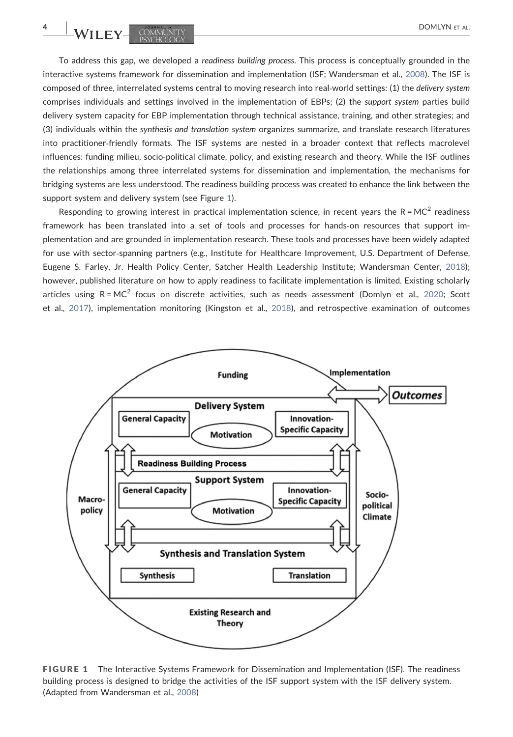To address this gap, we developed a readiness building process. This process is conceptually grounded in the interactive systems framework for dissemination and implementation (ISF; Wandersman et al., [2008\)](#page-20-8). The ISF is composed of three, interrelated systems central to moving research into real-world settings: (1) the delivery system comprises individuals and settings involved in the implementation of EBPs; (2) the support system parties build delivery system capacity for EBP implementation through technical assistance, training, and other strategies; and (3) individuals within the synthesis and translation system organizes summarize, and translate research literatures into practitioner‐friendly formats. The ISF systems are nested in a broader context that reflects macrolevel influences: funding milieu, socio‐political climate, policy, and existing research and theory. While the ISF outlines the relationships among three interrelated systems for dissemination and implementation, the mechanisms for bridging systems are less understood. The readiness building process was created to enhance the link between the support system and delivery system (see Figure [1\)](#page-3-0).

Responding to growing interest in practical implementation science, in recent years the  $R = MC^2$  readiness framework has been translated into a set of tools and processes for hands‐on resources that support implementation and are grounded in implementation research. These tools and processes have been widely adapted for use with sector‐spanning partners (e.g., Institute for Healthcare Improvement, U.S. Department of Defense, Eugene S. Farley, Jr. Health Policy Center, Satcher Health Leadership Institute; Wandersman Center, [2018\)](#page-20-9); however, published literature on how to apply readiness to facilitate implementation is limited. Existing scholarly articles using  $R = MC^2$  focus on discrete activities, such as needs assessment (Domlyn et al., [2020](#page-19-11); Scott et al., [2017\)](#page-20-6), implementation monitoring (Kingston et al., [2018](#page-19-14)), and retrospective examination of outcomes

<span id="page-3-0"></span>

FIGURE 1 The Interactive Systems Framework for Dissemination and Implementation (ISF). The readiness building process is designed to bridge the activities of the ISF support system with the ISF delivery system. (Adapted from Wandersman et al., [2008\)](#page-20-8)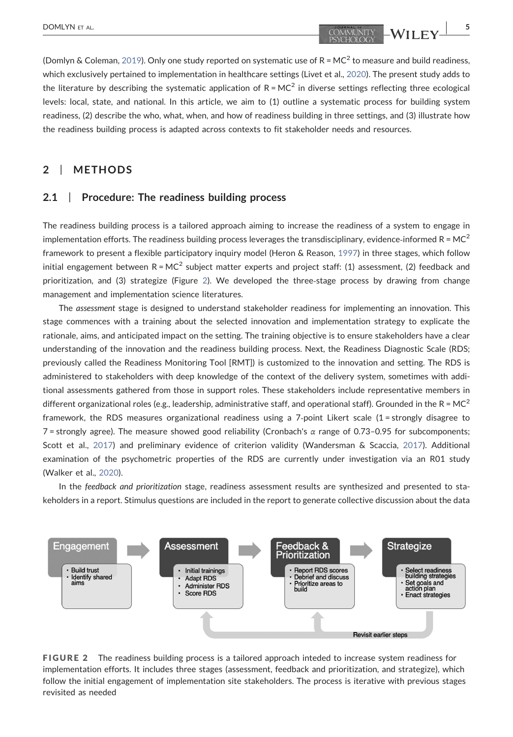(Domlyn & Coleman, [2019\)](#page-18-4). Only one study reported on systematic use of  $R = MC^2$  to measure and build readiness, which exclusively pertained to implementation in healthcare settings (Livet et al., [2020](#page-19-12)). The present study adds to the literature by describing the systematic application of  $R = MC^2$  in diverse settings reflecting three ecological levels: local, state, and national. In this article, we aim to (1) outline a systematic process for building system readiness, (2) describe the who, what, when, and how of readiness building in three settings, and (3) illustrate how the readiness building process is adapted across contexts to fit stakeholder needs and resources.

## 2 | METHODS

## 2.1 | Procedure: The readiness building process

The readiness building process is a tailored approach aiming to increase the readiness of a system to engage in implementation efforts. The readiness building process leverages the transdisciplinary, evidence-informed  $R = MC^2$ framework to present a flexible participatory inquiry model (Heron & Reason, [1997\)](#page-19-15) in three stages, which follow initial engagement between  $R = MC^2$  subject matter experts and project staff: (1) assessment, (2) feedback and prioritization, and (3) strategize (Figure [2\)](#page-4-0). We developed the three-stage process by drawing from change management and implementation science literatures.

The assessment stage is designed to understand stakeholder readiness for implementing an innovation. This stage commences with a training about the selected innovation and implementation strategy to explicate the rationale, aims, and anticipated impact on the setting. The training objective is to ensure stakeholders have a clear understanding of the innovation and the readiness building process. Next, the Readiness Diagnostic Scale (RDS; previously called the Readiness Monitoring Tool [RMT]) is customized to the innovation and setting. The RDS is administered to stakeholders with deep knowledge of the context of the delivery system, sometimes with additional assessments gathered from those in support roles. These stakeholders include representative members in different organizational roles (e.g., leadership, administrative staff, and operational staff). Grounded in the R = MC<sup>2</sup> framework, the RDS measures organizational readiness using a 7‐point Likert scale (1 = strongly disagree to 7 = strongly agree). The measure showed good reliability (Cronbach's  $\alpha$  range of 0.73-0.95 for subcomponents; Scott et al., [2017\)](#page-20-6) and preliminary evidence of criterion validity (Wandersman & Scaccia, [2017](#page-20-10)). Additional examination of the psychometric properties of the RDS are currently under investigation via an R01 study (Walker et al., [2020](#page-20-11)).

In the feedback and prioritization stage, readiness assessment results are synthesized and presented to stakeholders in a report. Stimulus questions are included in the report to generate collective discussion about the data

<span id="page-4-0"></span>

FIGURE 2 The readiness building process is a tailored approach inteded to increase system readiness for implementation efforts. It includes three stages (assessment, feedback and prioritization, and strategize), which follow the initial engagement of implementation site stakeholders. The process is iterative with previous stages revisited as needed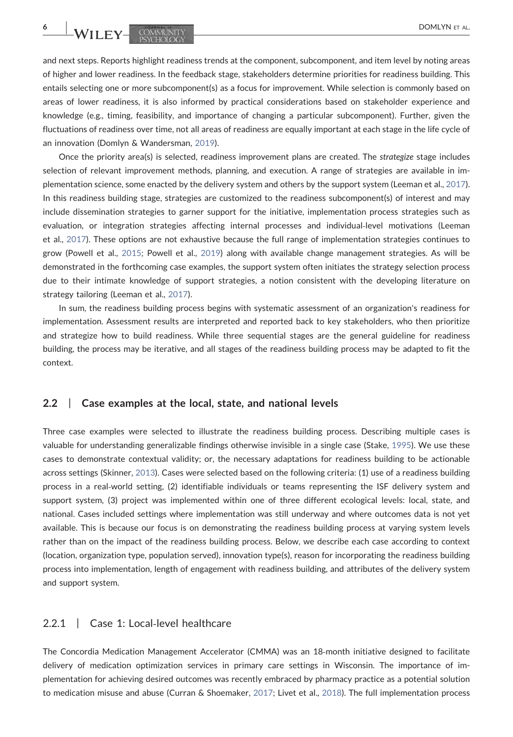and next steps. Reports highlight readiness trends at the component, subcomponent, and item level by noting areas of higher and lower readiness. In the feedback stage, stakeholders determine priorities for readiness building. This entails selecting one or more subcomponent(s) as a focus for improvement. While selection is commonly based on areas of lower readiness, it is also informed by practical considerations based on stakeholder experience and knowledge (e.g., timing, feasibility, and importance of changing a particular subcomponent). Further, given the fluctuations of readiness over time, not all areas of readiness are equally important at each stage in the life cycle of an innovation (Domlyn & Wandersman, [2019\)](#page-19-10).

Once the priority area(s) is selected, readiness improvement plans are created. The strategize stage includes selection of relevant improvement methods, planning, and execution. A range of strategies are available in implementation science, some enacted by the delivery system and others by the support system (Leeman et al., [2017](#page-19-16)). In this readiness building stage, strategies are customized to the readiness subcomponent(s) of interest and may include dissemination strategies to garner support for the initiative, implementation process strategies such as evaluation, or integration strategies affecting internal processes and individual-level motivations (Leeman et al., [2017](#page-19-16)). These options are not exhaustive because the full range of implementation strategies continues to grow (Powell et al., [2015;](#page-20-3) Powell et al., [2019](#page-20-12)) along with available change management strategies. As will be demonstrated in the forthcoming case examples, the support system often initiates the strategy selection process due to their intimate knowledge of support strategies, a notion consistent with the developing literature on strategy tailoring (Leeman et al., [2017\)](#page-19-16).

In sum, the readiness building process begins with systematic assessment of an organization's readiness for implementation. Assessment results are interpreted and reported back to key stakeholders, who then prioritize and strategize how to build readiness. While three sequential stages are the general guideline for readiness building, the process may be iterative, and all stages of the readiness building process may be adapted to fit the context.

## 2.2 | Case examples at the local, state, and national levels

Three case examples were selected to illustrate the readiness building process. Describing multiple cases is valuable for understanding generalizable findings otherwise invisible in a single case (Stake, [1995\)](#page-20-13). We use these cases to demonstrate contextual validity; or, the necessary adaptations for readiness building to be actionable across settings (Skinner, [2013\)](#page-20-14). Cases were selected based on the following criteria: (1) use of a readiness building process in a real‐world setting, (2) identifiable individuals or teams representing the ISF delivery system and support system, (3) project was implemented within one of three different ecological levels: local, state, and national. Cases included settings where implementation was still underway and where outcomes data is not yet available. This is because our focus is on demonstrating the readiness building process at varying system levels rather than on the impact of the readiness building process. Below, we describe each case according to context (location, organization type, population served), innovation type(s), reason for incorporating the readiness building process into implementation, length of engagement with readiness building, and attributes of the delivery system and support system.

### 2.2.1 | Case 1: Local-level healthcare

The Concordia Medication Management Accelerator (CMMA) was an 18‐month initiative designed to facilitate delivery of medication optimization services in primary care settings in Wisconsin. The importance of implementation for achieving desired outcomes was recently embraced by pharmacy practice as a potential solution to medication misuse and abuse (Curran & Shoemaker, [2017;](#page-18-5) Livet et al., [2018\)](#page-19-17). The full implementation process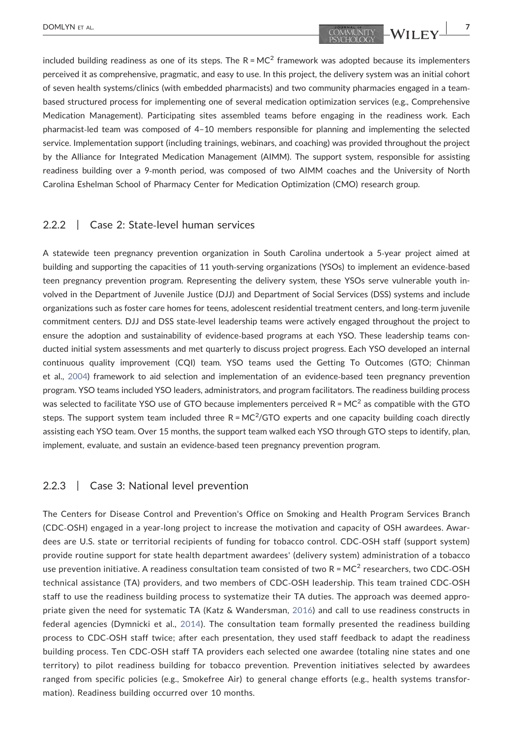included building readiness as one of its steps. The  $R = MC<sup>2</sup>$  framework was adopted because its implementers perceived it as comprehensive, pragmatic, and easy to use. In this project, the delivery system was an initial cohort of seven health systems/clinics (with embedded pharmacists) and two community pharmacies engaged in a team‐ based structured process for implementing one of several medication optimization services (e.g., Comprehensive Medication Management). Participating sites assembled teams before engaging in the readiness work. Each pharmacist‐led team was composed of 4–10 members responsible for planning and implementing the selected service. Implementation support (including trainings, webinars, and coaching) was provided throughout the project by the Alliance for Integrated Medication Management (AIMM). The support system, responsible for assisting readiness building over a 9‐month period, was composed of two AIMM coaches and the University of North Carolina Eshelman School of Pharmacy Center for Medication Optimization (CMO) research group.

## 2.2.2 | Case 2: State-level human services

A statewide teen pregnancy prevention organization in South Carolina undertook a 5‐year project aimed at building and supporting the capacities of 11 youth‐serving organizations (YSOs) to implement an evidence‐based teen pregnancy prevention program. Representing the delivery system, these YSOs serve vulnerable youth involved in the Department of Juvenile Justice (DJJ) and Department of Social Services (DSS) systems and include organizations such as foster care homes for teens, adolescent residential treatment centers, and long‐term juvenile commitment centers. DJJ and DSS state‐level leadership teams were actively engaged throughout the project to ensure the adoption and sustainability of evidence-based programs at each YSO. These leadership teams conducted initial system assessments and met quarterly to discuss project progress. Each YSO developed an internal continuous quality improvement (CQI) team. YSO teams used the Getting To Outcomes (GTO; Chinman et al., [2004\)](#page-18-6) framework to aid selection and implementation of an evidence‐based teen pregnancy prevention program. YSO teams included YSO leaders, administrators, and program facilitators. The readiness building process was selected to facilitate YSO use of GTO because implementers perceived  $R = MC<sup>2</sup>$  as compatible with the GTO steps. The support system team included three  $R = MC^2/GTO$  experts and one capacity building coach directly assisting each YSO team. Over 15 months, the support team walked each YSO through GTO steps to identify, plan, implement, evaluate, and sustain an evidence‐based teen pregnancy prevention program.

## 2.2.3 | Case 3: National level prevention

The Centers for Disease Control and Prevention's Office on Smoking and Health Program Services Branch (CDC‐OSH) engaged in a year‐long project to increase the motivation and capacity of OSH awardees. Awardees are U.S. state or territorial recipients of funding for tobacco control. CDC‐OSH staff (support system) provide routine support for state health department awardees' (delivery system) administration of a tobacco use prevention initiative. A readiness consultation team consisted of two  $R = MC<sup>2</sup>$  researchers, two CDC-OSH technical assistance (TA) providers, and two members of CDC‐OSH leadership. This team trained CDC‐OSH staff to use the readiness building process to systematize their TA duties. The approach was deemed appropriate given the need for systematic TA (Katz & Wandersman, [2016\)](#page-19-18) and call to use readiness constructs in federal agencies (Dymnicki et al., [2014\)](#page-19-19). The consultation team formally presented the readiness building process to CDC‐OSH staff twice; after each presentation, they used staff feedback to adapt the readiness building process. Ten CDC‐OSH staff TA providers each selected one awardee (totaling nine states and one territory) to pilot readiness building for tobacco prevention. Prevention initiatives selected by awardees ranged from specific policies (e.g., Smokefree Air) to general change efforts (e.g., health systems transformation). Readiness building occurred over 10 months.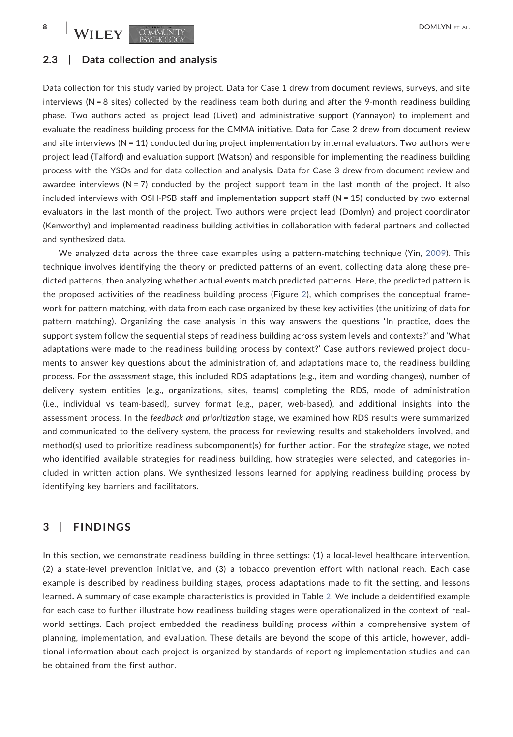## 2.3 | Data collection and analysis

Data collection for this study varied by project. Data for Case 1 drew from document reviews, surveys, and site interviews (N = 8 sites) collected by the readiness team both during and after the 9-month readiness building phase. Two authors acted as project lead (Livet) and administrative support (Yannayon) to implement and evaluate the readiness building process for the CMMA initiative. Data for Case 2 drew from document review and site interviews (N = 11) conducted during project implementation by internal evaluators. Two authors were project lead (Talford) and evaluation support (Watson) and responsible for implementing the readiness building process with the YSOs and for data collection and analysis. Data for Case 3 drew from document review and awardee interviews ( $N = 7$ ) conducted by the project support team in the last month of the project. It also included interviews with OSH-PSB staff and implementation support staff (N = 15) conducted by two external evaluators in the last month of the project. Two authors were project lead (Domlyn) and project coordinator (Kenworthy) and implemented readiness building activities in collaboration with federal partners and collected and synthesized data.

We analyzed data across the three case examples using a pattern-matching technique (Yin, [2009\)](#page-20-15). This technique involves identifying the theory or predicted patterns of an event, collecting data along these predicted patterns, then analyzing whether actual events match predicted patterns. Here, the predicted pattern is the proposed activities of the readiness building process (Figure [2\)](#page-4-0), which comprises the conceptual framework for pattern matching, with data from each case organized by these key activities (the unitizing of data for pattern matching). Organizing the case analysis in this way answers the questions 'In practice, does the support system follow the sequential steps of readiness building across system levels and contexts?' and 'What adaptations were made to the readiness building process by context?' Case authors reviewed project documents to answer key questions about the administration of, and adaptations made to, the readiness building process. For the assessment stage, this included RDS adaptations (e.g., item and wording changes), number of delivery system entities (e.g., organizations, sites, teams) completing the RDS, mode of administration (i.e., individual vs team‐based), survey format (e.g., paper, web‐based), and additional insights into the assessment process. In the feedback and prioritization stage, we examined how RDS results were summarized and communicated to the delivery system, the process for reviewing results and stakeholders involved, and method(s) used to prioritize readiness subcomponent(s) for further action. For the strategize stage, we noted who identified available strategies for readiness building, how strategies were selected, and categories included in written action plans. We synthesized lessons learned for applying readiness building process by identifying key barriers and facilitators.

## 3 | FINDINGS

In this section, we demonstrate readiness building in three settings: (1) a local-level healthcare intervention, (2) a state‐level prevention initiative, and (3) a tobacco prevention effort with national reach. Each case example is described by readiness building stages, process adaptations made to fit the setting, and lessons learned. A summary of case example characteristics is provided in Table [2.](#page-8-0) We include a deidentified example for each case to further illustrate how readiness building stages were operationalized in the context of realworld settings. Each project embedded the readiness building process within a comprehensive system of planning, implementation, and evaluation. These details are beyond the scope of this article, however, additional information about each project is organized by standards of reporting implementation studies and can be obtained from the first author.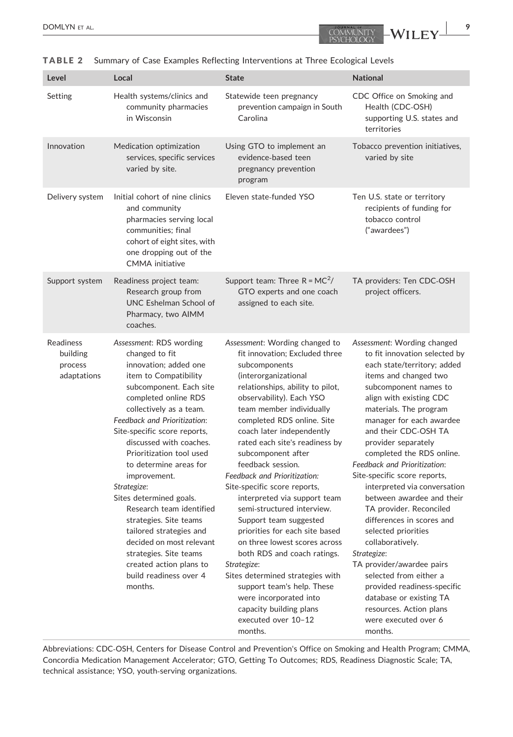| Level                                                  | Local                                                                                                                                                                                                                                                                                                                                                                                                                                                                                                                                                                                       | <b>State</b>                                                                                                                                                                                                                                                                                                                                                                                                                                                                                                                                                                                                                                                                                                                                                                    | <b>National</b>                                                                                                                                                                                                                                                                                                                                                                                                                                                                                                                                                                                                                                                                                                                          |
|--------------------------------------------------------|---------------------------------------------------------------------------------------------------------------------------------------------------------------------------------------------------------------------------------------------------------------------------------------------------------------------------------------------------------------------------------------------------------------------------------------------------------------------------------------------------------------------------------------------------------------------------------------------|---------------------------------------------------------------------------------------------------------------------------------------------------------------------------------------------------------------------------------------------------------------------------------------------------------------------------------------------------------------------------------------------------------------------------------------------------------------------------------------------------------------------------------------------------------------------------------------------------------------------------------------------------------------------------------------------------------------------------------------------------------------------------------|------------------------------------------------------------------------------------------------------------------------------------------------------------------------------------------------------------------------------------------------------------------------------------------------------------------------------------------------------------------------------------------------------------------------------------------------------------------------------------------------------------------------------------------------------------------------------------------------------------------------------------------------------------------------------------------------------------------------------------------|
| Setting                                                | Health systems/clinics and<br>community pharmacies<br>in Wisconsin                                                                                                                                                                                                                                                                                                                                                                                                                                                                                                                          | Statewide teen pregnancy<br>prevention campaign in South<br>Carolina                                                                                                                                                                                                                                                                                                                                                                                                                                                                                                                                                                                                                                                                                                            | CDC Office on Smoking and<br>Health (CDC-OSH)<br>supporting U.S. states and<br>territories                                                                                                                                                                                                                                                                                                                                                                                                                                                                                                                                                                                                                                               |
| Innovation                                             | Medication optimization<br>services, specific services<br>varied by site.                                                                                                                                                                                                                                                                                                                                                                                                                                                                                                                   | Using GTO to implement an<br>evidence-based teen<br>pregnancy prevention<br>program                                                                                                                                                                                                                                                                                                                                                                                                                                                                                                                                                                                                                                                                                             | Tobacco prevention initiatives,<br>varied by site                                                                                                                                                                                                                                                                                                                                                                                                                                                                                                                                                                                                                                                                                        |
| Delivery system                                        | Initial cohort of nine clinics<br>and community<br>pharmacies serving local<br>communities; final<br>cohort of eight sites, with<br>one dropping out of the<br><b>CMMA</b> initiative                                                                                                                                                                                                                                                                                                                                                                                                       | Eleven state-funded YSO                                                                                                                                                                                                                                                                                                                                                                                                                                                                                                                                                                                                                                                                                                                                                         | Ten U.S. state or territory<br>recipients of funding for<br>tobacco control<br>("awardees")                                                                                                                                                                                                                                                                                                                                                                                                                                                                                                                                                                                                                                              |
| Support system                                         | Readiness project team:<br>Research group from<br>UNC Eshelman School of<br>Pharmacy, two AIMM<br>coaches.                                                                                                                                                                                                                                                                                                                                                                                                                                                                                  | Support team: Three $R = MC^2/$<br>GTO experts and one coach<br>assigned to each site.                                                                                                                                                                                                                                                                                                                                                                                                                                                                                                                                                                                                                                                                                          | TA providers: Ten CDC-OSH<br>project officers.                                                                                                                                                                                                                                                                                                                                                                                                                                                                                                                                                                                                                                                                                           |
| <b>Readiness</b><br>building<br>process<br>adaptations | Assessment: RDS wording<br>changed to fit<br>innovation; added one<br>item to Compatibility<br>subcomponent. Each site<br>completed online RDS<br>collectively as a team.<br>Feedback and Prioritization:<br>Site-specific score reports,<br>discussed with coaches.<br>Prioritization tool used<br>to determine areas for<br>improvement.<br>Strategize:<br>Sites determined goals.<br>Research team identified<br>strategies. Site teams<br>tailored strategies and<br>decided on most relevant<br>strategies. Site teams<br>created action plans to<br>build readiness over 4<br>months. | Assessment: Wording changed to<br>fit innovation; Excluded three<br>subcomponents<br>(interorganizational<br>relationships, ability to pilot,<br>observability). Each YSO<br>team member individually<br>completed RDS online. Site<br>coach later independently<br>rated each site's readiness by<br>subcomponent after<br>feedback session.<br>Feedback and Prioritization:<br>Site-specific score reports,<br>interpreted via support team<br>semi-structured interview.<br>Support team suggested<br>priorities for each site based<br>on three lowest scores across<br>both RDS and coach ratings.<br>Strategize:<br>Sites determined strategies with<br>support team's help. These<br>were incorporated into<br>capacity building plans<br>executed over 10-12<br>months. | Assessment: Wording changed<br>to fit innovation selected by<br>each state/territory; added<br>items and changed two<br>subcomponent names to<br>align with existing CDC<br>materials. The program<br>manager for each awardee<br>and their CDC-OSH TA<br>provider separately<br>completed the RDS online.<br>Feedback and Prioritization:<br>Site-specific score reports,<br>interpreted via conversation<br>between awardee and their<br>TA provider. Reconciled<br>differences in scores and<br>selected priorities<br>collaboratively.<br>Strategize:<br>TA provider/awardee pairs<br>selected from either a<br>provided readiness-specific<br>database or existing TA<br>resources. Action plans<br>were executed over 6<br>months. |

#### <span id="page-8-0"></span>TABLE 2 Summary of Case Examples Reflecting Interventions at Three Ecological Levels

Abbreviations: CDC‐OSH, Centers for Disease Control and Prevention's Office on Smoking and Health Program; CMMA, Concordia Medication Management Accelerator; GTO, Getting To Outcomes; RDS, Readiness Diagnostic Scale; TA, technical assistance; YSO, youth‐serving organizations.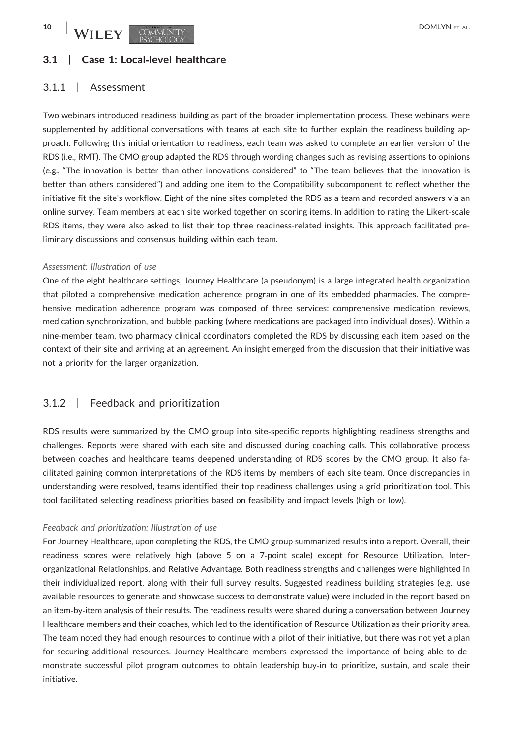## 3.1 | Case 1: Local-level healthcare

## 3.1.1 | Assessment

Two webinars introduced readiness building as part of the broader implementation process. These webinars were supplemented by additional conversations with teams at each site to further explain the readiness building approach. Following this initial orientation to readiness, each team was asked to complete an earlier version of the RDS (i.e., RMT). The CMO group adapted the RDS through wording changes such as revising assertions to opinions (e.g., "The innovation is better than other innovations considered" to "The team believes that the innovation is better than others considered") and adding one item to the Compatibility subcomponent to reflect whether the initiative fit the site's workflow. Eight of the nine sites completed the RDS as a team and recorded answers via an online survey. Team members at each site worked together on scoring items. In addition to rating the Likert‐scale RDS items, they were also asked to list their top three readiness-related insights. This approach facilitated preliminary discussions and consensus building within each team.

#### Assessment: Illustration of use

One of the eight healthcare settings, Journey Healthcare (a pseudonym) is a large integrated health organization that piloted a comprehensive medication adherence program in one of its embedded pharmacies. The comprehensive medication adherence program was composed of three services: comprehensive medication reviews, medication synchronization, and bubble packing (where medications are packaged into individual doses). Within a nine‐member team, two pharmacy clinical coordinators completed the RDS by discussing each item based on the context of their site and arriving at an agreement. An insight emerged from the discussion that their initiative was not a priority for the larger organization.

## 3.1.2 | Feedback and prioritization

RDS results were summarized by the CMO group into site‐specific reports highlighting readiness strengths and challenges. Reports were shared with each site and discussed during coaching calls. This collaborative process between coaches and healthcare teams deepened understanding of RDS scores by the CMO group. It also facilitated gaining common interpretations of the RDS items by members of each site team. Once discrepancies in understanding were resolved, teams identified their top readiness challenges using a grid prioritization tool. This tool facilitated selecting readiness priorities based on feasibility and impact levels (high or low).

#### Feedback and prioritization: Illustration of use

For Journey Healthcare, upon completing the RDS, the CMO group summarized results into a report. Overall, their readiness scores were relatively high (above 5 on a 7‐point scale) except for Resource Utilization, Interorganizational Relationships, and Relative Advantage. Both readiness strengths and challenges were highlighted in their individualized report, along with their full survey results. Suggested readiness building strategies (e.g., use available resources to generate and showcase success to demonstrate value) were included in the report based on an item‐by‐item analysis of their results. The readiness results were shared during a conversation between Journey Healthcare members and their coaches, which led to the identification of Resource Utilization as their priority area. The team noted they had enough resources to continue with a pilot of their initiative, but there was not yet a plan for securing additional resources. Journey Healthcare members expressed the importance of being able to demonstrate successful pilot program outcomes to obtain leadership buy‐in to prioritize, sustain, and scale their initiative.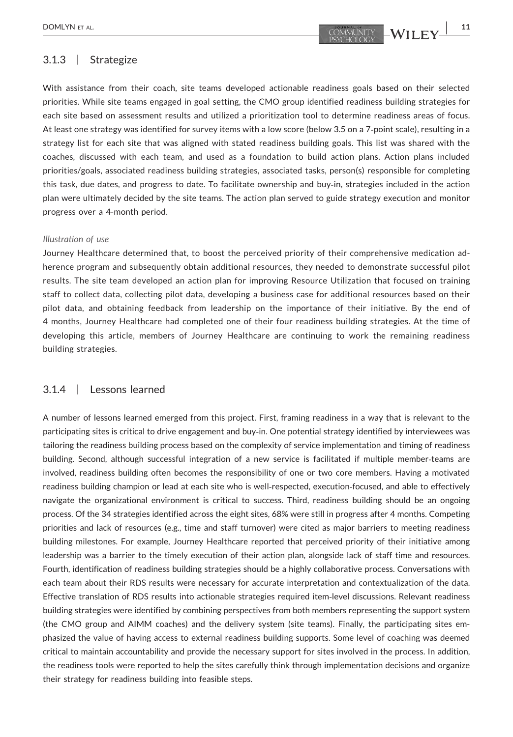## 3.1.3 | Strategize

With assistance from their coach, site teams developed actionable readiness goals based on their selected priorities. While site teams engaged in goal setting, the CMO group identified readiness building strategies for each site based on assessment results and utilized a prioritization tool to determine readiness areas of focus. At least one strategy was identified for survey items with a low score (below 3.5 on a 7‐point scale), resulting in a strategy list for each site that was aligned with stated readiness building goals. This list was shared with the coaches, discussed with each team, and used as a foundation to build action plans. Action plans included priorities/goals, associated readiness building strategies, associated tasks, person(s) responsible for completing this task, due dates, and progress to date. To facilitate ownership and buy‐in, strategies included in the action plan were ultimately decided by the site teams. The action plan served to guide strategy execution and monitor progress over a 4‐month period.

#### Illustration of use

Journey Healthcare determined that, to boost the perceived priority of their comprehensive medication adherence program and subsequently obtain additional resources, they needed to demonstrate successful pilot results. The site team developed an action plan for improving Resource Utilization that focused on training staff to collect data, collecting pilot data, developing a business case for additional resources based on their pilot data, and obtaining feedback from leadership on the importance of their initiative. By the end of 4 months, Journey Healthcare had completed one of their four readiness building strategies. At the time of developing this article, members of Journey Healthcare are continuing to work the remaining readiness building strategies.

## 3.1.4 | Lessons learned

A number of lessons learned emerged from this project. First, framing readiness in a way that is relevant to the participating sites is critical to drive engagement and buy-in. One potential strategy identified by interviewees was tailoring the readiness building process based on the complexity of service implementation and timing of readiness building. Second, although successful integration of a new service is facilitated if multiple member‐teams are involved, readiness building often becomes the responsibility of one or two core members. Having a motivated readiness building champion or lead at each site who is well‐respected, execution‐focused, and able to effectively navigate the organizational environment is critical to success. Third, readiness building should be an ongoing process. Of the 34 strategies identified across the eight sites, 68% were still in progress after 4 months. Competing priorities and lack of resources (e.g., time and staff turnover) were cited as major barriers to meeting readiness building milestones. For example, Journey Healthcare reported that perceived priority of their initiative among leadership was a barrier to the timely execution of their action plan, alongside lack of staff time and resources. Fourth, identification of readiness building strategies should be a highly collaborative process. Conversations with each team about their RDS results were necessary for accurate interpretation and contextualization of the data. Effective translation of RDS results into actionable strategies required item‐level discussions. Relevant readiness building strategies were identified by combining perspectives from both members representing the support system (the CMO group and AIMM coaches) and the delivery system (site teams). Finally, the participating sites emphasized the value of having access to external readiness building supports. Some level of coaching was deemed critical to maintain accountability and provide the necessary support for sites involved in the process. In addition, the readiness tools were reported to help the sites carefully think through implementation decisions and organize their strategy for readiness building into feasible steps.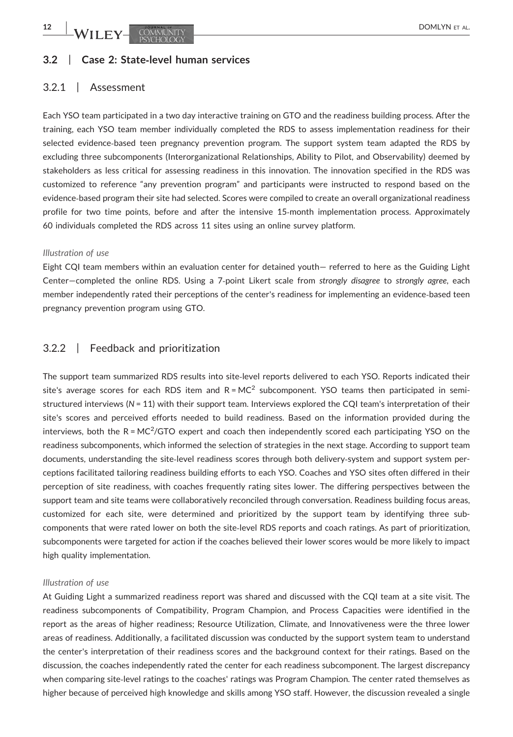## 3.2 | Case 2: State‐level human services

## 3.2.1 | Assessment

Each YSO team participated in a two day interactive training on GTO and the readiness building process. After the training, each YSO team member individually completed the RDS to assess implementation readiness for their selected evidence-based teen pregnancy prevention program. The support system team adapted the RDS by excluding three subcomponents (Interorganizational Relationships, Ability to Pilot, and Observability) deemed by stakeholders as less critical for assessing readiness in this innovation. The innovation specified in the RDS was customized to reference "any prevention program" and participants were instructed to respond based on the evidence‐based program their site had selected. Scores were compiled to create an overall organizational readiness profile for two time points, before and after the intensive 15-month implementation process. Approximately 60 individuals completed the RDS across 11 sites using an online survey platform.

#### Illustration of use

Eight CQI team members within an evaluation center for detained youth— referred to here as the Guiding Light Center–completed the online RDS. Using a 7-point Likert scale from strongly disagree to strongly agree, each member independently rated their perceptions of the center's readiness for implementing an evidence‐based teen pregnancy prevention program using GTO.

## 3.2.2 | Feedback and prioritization

The support team summarized RDS results into site‐level reports delivered to each YSO. Reports indicated their site's average scores for each RDS item and  $R = MC<sup>2</sup>$  subcomponent. YSO teams then participated in semistructured interviews ( $N = 11$ ) with their support team. Interviews explored the CQI team's interpretation of their site's scores and perceived efforts needed to build readiness. Based on the information provided during the interviews, both the R =  $MC^2/GTO$  expert and coach then independently scored each participating YSO on the readiness subcomponents, which informed the selection of strategies in the next stage. According to support team documents, understanding the site‐level readiness scores through both delivery‐system and support system perceptions facilitated tailoring readiness building efforts to each YSO. Coaches and YSO sites often differed in their perception of site readiness, with coaches frequently rating sites lower. The differing perspectives between the support team and site teams were collaboratively reconciled through conversation. Readiness building focus areas, customized for each site, were determined and prioritized by the support team by identifying three subcomponents that were rated lower on both the site-level RDS reports and coach ratings. As part of prioritization, subcomponents were targeted for action if the coaches believed their lower scores would be more likely to impact high quality implementation.

#### Illustration of use

At Guiding Light a summarized readiness report was shared and discussed with the CQI team at a site visit. The readiness subcomponents of Compatibility, Program Champion, and Process Capacities were identified in the report as the areas of higher readiness; Resource Utilization, Climate, and Innovativeness were the three lower areas of readiness. Additionally, a facilitated discussion was conducted by the support system team to understand the center's interpretation of their readiness scores and the background context for their ratings. Based on the discussion, the coaches independently rated the center for each readiness subcomponent. The largest discrepancy when comparing site‐level ratings to the coaches' ratings was Program Champion. The center rated themselves as higher because of perceived high knowledge and skills among YSO staff. However, the discussion revealed a single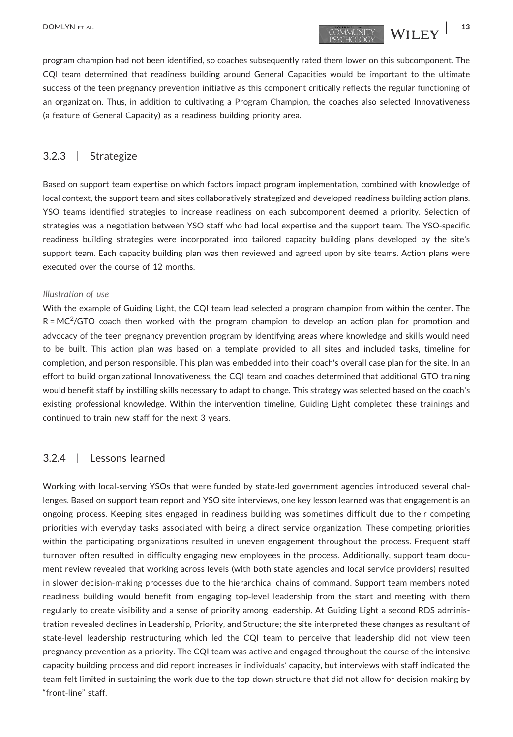program champion had not been identified, so coaches subsequently rated them lower on this subcomponent. The CQI team determined that readiness building around General Capacities would be important to the ultimate success of the teen pregnancy prevention initiative as this component critically reflects the regular functioning of an organization. Thus, in addition to cultivating a Program Champion, the coaches also selected Innovativeness (a feature of General Capacity) as a readiness building priority area.

## 3.2.3 | Strategize

Based on support team expertise on which factors impact program implementation, combined with knowledge of local context, the support team and sites collaboratively strategized and developed readiness building action plans. YSO teams identified strategies to increase readiness on each subcomponent deemed a priority. Selection of strategies was a negotiation between YSO staff who had local expertise and the support team. The YSO‐specific readiness building strategies were incorporated into tailored capacity building plans developed by the site's support team. Each capacity building plan was then reviewed and agreed upon by site teams. Action plans were executed over the course of 12 months.

#### Illustration of use

With the example of Guiding Light, the CQI team lead selected a program champion from within the center. The  $R = MC<sup>2</sup>/GTO$  coach then worked with the program champion to develop an action plan for promotion and advocacy of the teen pregnancy prevention program by identifying areas where knowledge and skills would need to be built. This action plan was based on a template provided to all sites and included tasks, timeline for completion, and person responsible. This plan was embedded into their coach's overall case plan for the site. In an effort to build organizational Innovativeness, the CQI team and coaches determined that additional GTO training would benefit staff by instilling skills necessary to adapt to change. This strategy was selected based on the coach's existing professional knowledge. Within the intervention timeline, Guiding Light completed these trainings and continued to train new staff for the next 3 years.

## 3.2.4 | Lessons learned

Working with local-serving YSOs that were funded by state-led government agencies introduced several challenges. Based on support team report and YSO site interviews, one key lesson learned was that engagement is an ongoing process. Keeping sites engaged in readiness building was sometimes difficult due to their competing priorities with everyday tasks associated with being a direct service organization. These competing priorities within the participating organizations resulted in uneven engagement throughout the process. Frequent staff turnover often resulted in difficulty engaging new employees in the process. Additionally, support team document review revealed that working across levels (with both state agencies and local service providers) resulted in slower decision-making processes due to the hierarchical chains of command. Support team members noted readiness building would benefit from engaging top-level leadership from the start and meeting with them regularly to create visibility and a sense of priority among leadership. At Guiding Light a second RDS administration revealed declines in Leadership, Priority, and Structure; the site interpreted these changes as resultant of state-level leadership restructuring which led the CQI team to perceive that leadership did not view teen pregnancy prevention as a priority. The CQI team was active and engaged throughout the course of the intensive capacity building process and did report increases in individuals' capacity, but interviews with staff indicated the team felt limited in sustaining the work due to the top‐down structure that did not allow for decision‐making by "front‐line" staff.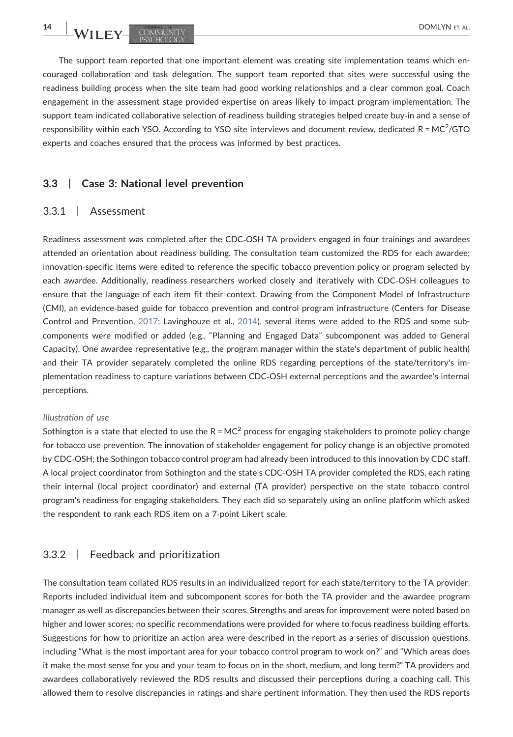The support team reported that one important element was creating site implementation teams which encouraged collaboration and task delegation. The support team reported that sites were successful using the readiness building process when the site team had good working relationships and a clear common goal. Coach engagement in the assessment stage provided expertise on areas likely to impact program implementation. The support team indicated collaborative selection of readiness building strategies helped create buy-in and a sense of responsibility within each YSO. According to YSO site interviews and document review, dedicated R = MC<sup>2</sup>/GTO experts and coaches ensured that the process was informed by best practices.

## 3.3 | Case 3: National level prevention

## 3.3.1 | Assessment

Readiness assessment was completed after the CDC‐OSH TA providers engaged in four trainings and awardees attended an orientation about readiness building. The consultation team customized the RDS for each awardee; innovation‐specific items were edited to reference the specific tobacco prevention policy or program selected by each awardee. Additionally, readiness researchers worked closely and iteratively with CDC‐OSH colleagues to ensure that the language of each item fit their context. Drawing from the Component Model of Infrastructure (CMI), an evidence‐based guide for tobacco prevention and control program infrastructure (Centers for Disease Control and Prevention, [2017](#page-18-7); Lavinghouze et al., [2014](#page-19-20)), several items were added to the RDS and some subcomponents were modified or added (e.g., "Planning and Engaged Data" subcomponent was added to General Capacity). One awardee representative (e.g., the program manager within the state's department of public health) and their TA provider separately completed the online RDS regarding perceptions of the state/territory's implementation readiness to capture variations between CDC‐OSH external perceptions and the awardee's internal perceptions.

#### Illustration of use

Sothington is a state that elected to use the  $R = MC<sup>2</sup>$  process for engaging stakeholders to promote policy change for tobacco use prevention. The innovation of stakeholder engagement for policy change is an objective promoted by CDC‐OSH; the Sothingon tobacco control program had already been introduced to this innovation by CDC staff. A local project coordinator from Sothington and the state's CDC‐OSH TA provider completed the RDS, each rating their internal (local project coordinator) and external (TA provider) perspective on the state tobacco control program's readiness for engaging stakeholders. They each did so separately using an online platform which asked the respondent to rank each RDS item on a 7‐point Likert scale.

## 3.3.2 | Feedback and prioritization

The consultation team collated RDS results in an individualized report for each state/territory to the TA provider. Reports included individual item and subcomponent scores for both the TA provider and the awardee program manager as well as discrepancies between their scores. Strengths and areas for improvement were noted based on higher and lower scores; no specific recommendations were provided for where to focus readiness building efforts. Suggestions for how to prioritize an action area were described in the report as a series of discussion questions, including "What is the most important area for your tobacco control program to work on?" and "Which areas does it make the most sense for you and your team to focus on in the short, medium, and long term?" TA providers and awardees collaboratively reviewed the RDS results and discussed their perceptions during a coaching call. This allowed them to resolve discrepancies in ratings and share pertinent information. They then used the RDS reports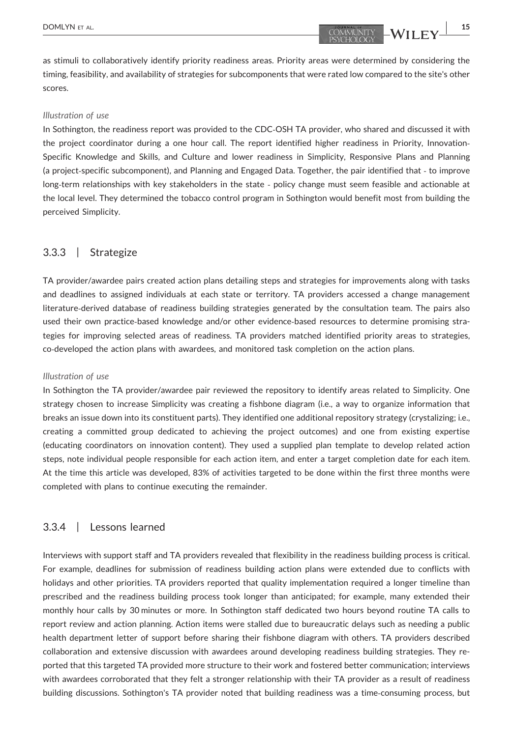as stimuli to collaboratively identify priority readiness areas. Priority areas were determined by considering the timing, feasibility, and availability of strategies for subcomponents that were rated low compared to the site's other scores.

#### Illustration of use

In Sothington, the readiness report was provided to the CDC‐OSH TA provider, who shared and discussed it with the project coordinator during a one hour call. The report identified higher readiness in Priority, Innovation-Specific Knowledge and Skills, and Culture and lower readiness in Simplicity, Responsive Plans and Planning (a project‐specific subcomponent), and Planning and Engaged Data. Together, the pair identified that ‐ to improve long‐term relationships with key stakeholders in the state ‐ policy change must seem feasible and actionable at the local level. They determined the tobacco control program in Sothington would benefit most from building the perceived Simplicity.

## 3.3.3 | Strategize

TA provider/awardee pairs created action plans detailing steps and strategies for improvements along with tasks and deadlines to assigned individuals at each state or territory. TA providers accessed a change management literature‐derived database of readiness building strategies generated by the consultation team. The pairs also used their own practice-based knowledge and/or other evidence-based resources to determine promising strategies for improving selected areas of readiness. TA providers matched identified priority areas to strategies, co-developed the action plans with awardees, and monitored task completion on the action plans.

#### Illustration of use

In Sothington the TA provider/awardee pair reviewed the repository to identify areas related to Simplicity. One strategy chosen to increase Simplicity was creating a fishbone diagram (i.e., a way to organize information that breaks an issue down into its constituent parts). They identified one additional repository strategy (crystalizing; i.e., creating a committed group dedicated to achieving the project outcomes) and one from existing expertise (educating coordinators on innovation content). They used a supplied plan template to develop related action steps, note individual people responsible for each action item, and enter a target completion date for each item. At the time this article was developed, 83% of activities targeted to be done within the first three months were completed with plans to continue executing the remainder.

## 3.3.4 | Lessons learned

Interviews with support staff and TA providers revealed that flexibility in the readiness building process is critical. For example, deadlines for submission of readiness building action plans were extended due to conflicts with holidays and other priorities. TA providers reported that quality implementation required a longer timeline than prescribed and the readiness building process took longer than anticipated; for example, many extended their monthly hour calls by 30 minutes or more. In Sothington staff dedicated two hours beyond routine TA calls to report review and action planning. Action items were stalled due to bureaucratic delays such as needing a public health department letter of support before sharing their fishbone diagram with others. TA providers described collaboration and extensive discussion with awardees around developing readiness building strategies. They reported that this targeted TA provided more structure to their work and fostered better communication; interviews with awardees corroborated that they felt a stronger relationship with their TA provider as a result of readiness building discussions. Sothington's TA provider noted that building readiness was a time‐consuming process, but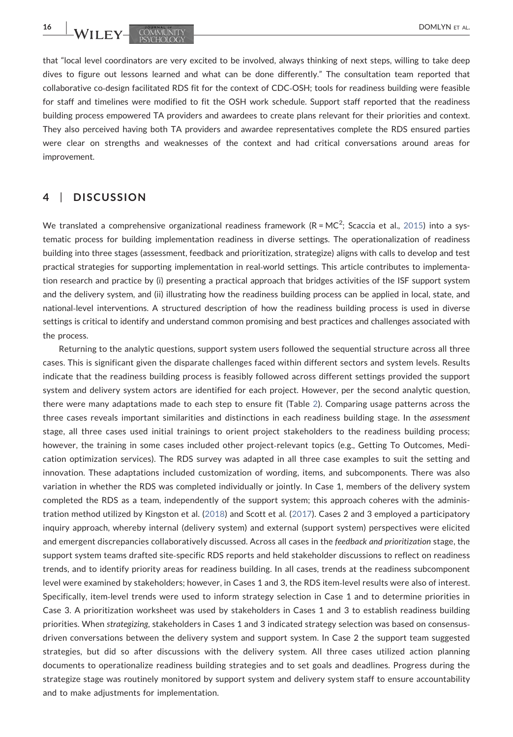that "local level coordinators are very excited to be involved, always thinking of next steps, willing to take deep dives to figure out lessons learned and what can be done differently." The consultation team reported that collaborative co-design facilitated RDS fit for the context of CDC-OSH; tools for readiness building were feasible for staff and timelines were modified to fit the OSH work schedule. Support staff reported that the readiness building process empowered TA providers and awardees to create plans relevant for their priorities and context. They also perceived having both TA providers and awardee representatives complete the RDS ensured parties were clear on strengths and weaknesses of the context and had critical conversations around areas for improvement.

## 4 | DISCUSSION

We translated a comprehensive organizational readiness framework (R = MC<sup>2</sup>; Scaccia et al., [2015\)](#page-20-1) into a systematic process for building implementation readiness in diverse settings. The operationalization of readiness building into three stages (assessment, feedback and prioritization, strategize) aligns with calls to develop and test practical strategies for supporting implementation in real‐world settings. This article contributes to implementation research and practice by (i) presenting a practical approach that bridges activities of the ISF support system and the delivery system, and (ii) illustrating how the readiness building process can be applied in local, state, and national‐level interventions. A structured description of how the readiness building process is used in diverse settings is critical to identify and understand common promising and best practices and challenges associated with the process.

Returning to the analytic questions, support system users followed the sequential structure across all three cases. This is significant given the disparate challenges faced within different sectors and system levels. Results indicate that the readiness building process is feasibly followed across different settings provided the support system and delivery system actors are identified for each project. However, per the second analytic question, there were many adaptations made to each step to ensure fit (Table [2](#page-8-0)). Comparing usage patterns across the three cases reveals important similarities and distinctions in each readiness building stage. In the assessment stage, all three cases used initial trainings to orient project stakeholders to the readiness building process; however, the training in some cases included other project-relevant topics (e.g., Getting To Outcomes, Medication optimization services). The RDS survey was adapted in all three case examples to suit the setting and innovation. These adaptations included customization of wording, items, and subcomponents. There was also variation in whether the RDS was completed individually or jointly. In Case 1, members of the delivery system completed the RDS as a team, independently of the support system; this approach coheres with the administration method utilized by Kingston et al. ([2018](#page-19-14)) and Scott et al. ([2017\)](#page-20-6). Cases 2 and 3 employed a participatory inquiry approach, whereby internal (delivery system) and external (support system) perspectives were elicited and emergent discrepancies collaboratively discussed. Across all cases in the feedback and prioritization stage, the support system teams drafted site-specific RDS reports and held stakeholder discussions to reflect on readiness trends, and to identify priority areas for readiness building. In all cases, trends at the readiness subcomponent level were examined by stakeholders; however, in Cases 1 and 3, the RDS item‐level results were also of interest. Specifically, item‐level trends were used to inform strategy selection in Case 1 and to determine priorities in Case 3. A prioritization worksheet was used by stakeholders in Cases 1 and 3 to establish readiness building priorities. When strategizing, stakeholders in Cases 1 and 3 indicated strategy selection was based on consensusdriven conversations between the delivery system and support system. In Case 2 the support team suggested strategies, but did so after discussions with the delivery system. All three cases utilized action planning documents to operationalize readiness building strategies and to set goals and deadlines. Progress during the strategize stage was routinely monitored by support system and delivery system staff to ensure accountability and to make adjustments for implementation.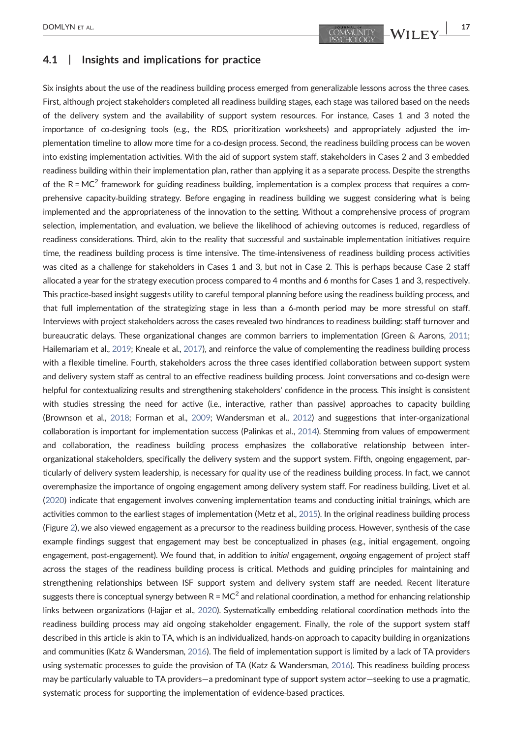## 4.1 | Insights and implications for practice

First, although project stakeholders completed all readiness building stages, each stage was tailored based on the needs of the delivery system and the availability of support system resources. For instance, Cases 1 and 3 noted the importance of co-designing tools (e.g., the RDS, prioritization worksheets) and appropriately adjusted the implementation timeline to allow more time for a co-design process. Second, the readiness building process can be woven into existing implementation activities. With the aid of support system staff, stakeholders in Cases 2 and 3 embedded readiness building within their implementation plan, rather than applying it as a separate process. Despite the strengths of the  $R = MC<sup>2</sup>$  framework for guiding readiness building, implementation is a complex process that requires a comprehensive capacity‐building strategy. Before engaging in readiness building we suggest considering what is being implemented and the appropriateness of the innovation to the setting. Without a comprehensive process of program selection, implementation, and evaluation, we believe the likelihood of achieving outcomes is reduced, regardless of readiness considerations. Third, akin to the reality that successful and sustainable implementation initiatives require time, the readiness building process is time intensive. The time‐intensiveness of readiness building process activities was cited as a challenge for stakeholders in Cases 1 and 3, but not in Case 2. This is perhaps because Case 2 staff allocated a year for the strategy execution process compared to 4 months and 6 months for Cases 1 and 3, respectively. This practice‐based insight suggests utility to careful temporal planning before using the readiness building process, and that full implementation of the strategizing stage in less than a 6‐month period may be more stressful on staff. Interviews with project stakeholders across the cases revealed two hindrances to readiness building: staff turnover and bureaucratic delays. These organizational changes are common barriers to implementation (Green & Aarons, [2011](#page-19-0); Hailemariam et al., [2019;](#page-19-21) Kneale et al., [2017](#page-19-1)), and reinforce the value of complementing the readiness building process with a flexible timeline. Fourth, stakeholders across the three cases identified collaboration between support system and delivery system staff as central to an effective readiness building process. Joint conversations and co-design were helpful for contextualizing results and strengthening stakeholders' confidence in the process. This insight is consistent with studies stressing the need for active (i.e., interactive, rather than passive) approaches to capacity building (Brownson et al., [2018](#page-18-1); Forman et al., [2009;](#page-19-22) Wandersman et al., [2012\)](#page-20-16) and suggestions that inter‐organizational collaboration is important for implementation success (Palinkas et al., [2014](#page-20-17)). Stemming from values of empowerment and collaboration, the readiness building process emphasizes the collaborative relationship between interorganizational stakeholders, specifically the delivery system and the support system. Fifth, ongoing engagement, particularly of delivery system leadership, is necessary for quality use of the readiness building process. In fact, we cannot overemphasize the importance of ongoing engagement among delivery system staff. For readiness building, Livet et al. ([2020\)](#page-19-12) indicate that engagement involves convening implementation teams and conducting initial trainings, which are activities common to the earliest stages of implementation (Metz et al., [2015](#page-19-23)). In the original readiness building process (Figure [2\)](#page-4-0), we also viewed engagement as a precursor to the readiness building process. However, synthesis of the case example findings suggest that engagement may best be conceptualized in phases (e.g., initial engagement, ongoing engagement, post-engagement). We found that, in addition to initial engagement, ongoing engagement of project staff across the stages of the readiness building process is critical. Methods and guiding principles for maintaining and strengthening relationships between ISF support system and delivery system staff are needed. Recent literature suggests there is conceptual synergy between  $R = MC^2$  and relational coordination, a method for enhancing relationship links between organizations (Hajjar et al., [2020\)](#page-19-24). Systematically embedding relational coordination methods into the readiness building process may aid ongoing stakeholder engagement. Finally, the role of the support system staff described in this article is akin to TA, which is an individualized, hands‐on approach to capacity building in organizations and communities (Katz & Wandersman, [2016](#page-19-18)). The field of implementation support is limited by a lack of TA providers using systematic processes to guide the provision of TA (Katz & Wandersman, [2016](#page-19-18)). This readiness building process may be particularly valuable to TA providers—a predominant type of support system actor—seeking to use a pragmatic, systematic process for supporting the implementation of evidence‐based practices.

Six insights about the use of the readiness building process emerged from generalizable lessons across the three cases.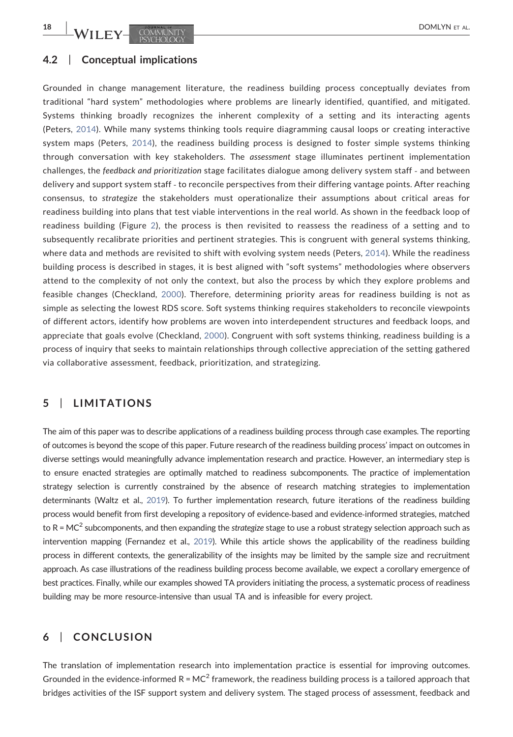## 4.2 | Conceptual implications

Grounded in change management literature, the readiness building process conceptually deviates from traditional "hard system" methodologies where problems are linearly identified, quantified, and mitigated. Systems thinking broadly recognizes the inherent complexity of a setting and its interacting agents (Peters, [2014\)](#page-20-18). While many systems thinking tools require diagramming causal loops or creating interactive system maps (Peters, [2014\)](#page-20-18), the readiness building process is designed to foster simple systems thinking through conversation with key stakeholders. The assessment stage illuminates pertinent implementation challenges, the feedback and prioritization stage facilitates dialogue among delivery system staff ‐ and between delivery and support system staff ‐ to reconcile perspectives from their differing vantage points. After reaching consensus, to strategize the stakeholders must operationalize their assumptions about critical areas for readiness building into plans that test viable interventions in the real world. As shown in the feedback loop of readiness building (Figure [2](#page-4-0)), the process is then revisited to reassess the readiness of a setting and to subsequently recalibrate priorities and pertinent strategies. This is congruent with general systems thinking, where data and methods are revisited to shift with evolving system needs (Peters, [2014](#page-20-18)). While the readiness building process is described in stages, it is best aligned with "soft systems" methodologies where observers attend to the complexity of not only the context, but also the process by which they explore problems and feasible changes (Checkland, [2000\)](#page-18-8). Therefore, determining priority areas for readiness building is not as simple as selecting the lowest RDS score. Soft systems thinking requires stakeholders to reconcile viewpoints of different actors, identify how problems are woven into interdependent structures and feedback loops, and appreciate that goals evolve (Checkland, [2000](#page-18-8)). Congruent with soft systems thinking, readiness building is a process of inquiry that seeks to maintain relationships through collective appreciation of the setting gathered via collaborative assessment, feedback, prioritization, and strategizing.

## 5 | LIMITATIONS

The aim of this paper was to describe applications of a readiness building process through case examples. The reporting of outcomes is beyond the scope of this paper. Future research of the readiness building process' impact on outcomes in diverse settings would meaningfully advance implementation research and practice. However, an intermediary step is to ensure enacted strategies are optimally matched to readiness subcomponents. The practice of implementation strategy selection is currently constrained by the absence of research matching strategies to implementation determinants (Waltz et al., [2019](#page-20-19)). To further implementation research, future iterations of the readiness building process would benefit from first developing a repository of evidence‐based and evidence‐informed strategies, matched to  $R = MC<sup>2</sup>$  subcomponents, and then expanding the *strategize* stage to use a robust strategy selection approach such as intervention mapping (Fernandez et al., [2019\)](#page-19-25). While this article shows the applicability of the readiness building process in different contexts, the generalizability of the insights may be limited by the sample size and recruitment approach. As case illustrations of the readiness building process become available, we expect a corollary emergence of best practices. Finally, while our examples showed TA providers initiating the process, a systematic process of readiness building may be more resource‐intensive than usual TA and is infeasible for every project.

## 6 | CONCLUSION

The translation of implementation research into implementation practice is essential for improving outcomes. Grounded in the evidence-informed  $R = MC^2$  framework, the readiness building process is a tailored approach that bridges activities of the ISF support system and delivery system. The staged process of assessment, feedback and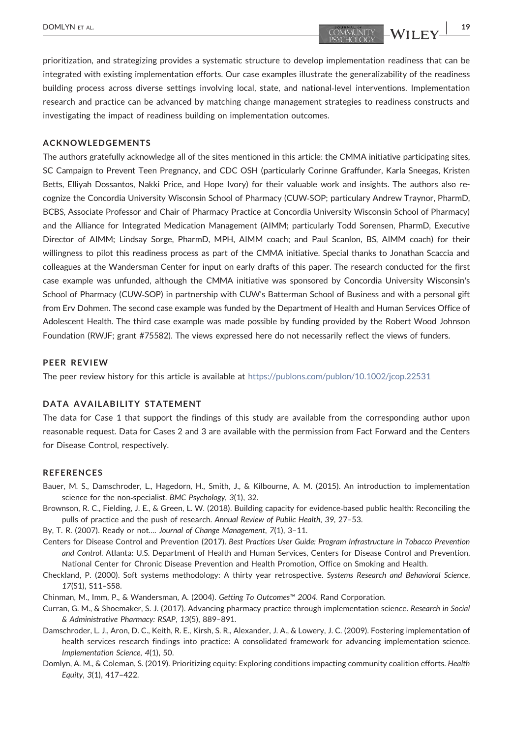prioritization, and strategizing provides a systematic structure to develop implementation readiness that can be integrated with existing implementation efforts. Our case examples illustrate the generalizability of the readiness building process across diverse settings involving local, state, and national‐level interventions. Implementation research and practice can be advanced by matching change management strategies to readiness constructs and investigating the impact of readiness building on implementation outcomes.

#### ACKNOWLEDGEMENTS

The authors gratefully acknowledge all of the sites mentioned in this article: the CMMA initiative participating sites, SC Campaign to Prevent Teen Pregnancy, and CDC OSH (particularly Corinne Graffunder, Karla Sneegas, Kristen Betts, Elliyah Dossantos, Nakki Price, and Hope Ivory) for their valuable work and insights. The authors also recognize the Concordia University Wisconsin School of Pharmacy (CUW‐SOP; particulary Andrew Traynor, PharmD, BCBS, Associate Professor and Chair of Pharmacy Practice at Concordia University Wisconsin School of Pharmacy) and the Alliance for Integrated Medication Management (AIMM; particularly Todd Sorensen, PharmD, Executive Director of AIMM; Lindsay Sorge, PharmD, MPH, AIMM coach; and Paul Scanlon, BS, AIMM coach) for their willingness to pilot this readiness process as part of the CMMA initiative. Special thanks to Jonathan Scaccia and colleagues at the Wandersman Center for input on early drafts of this paper. The research conducted for the first case example was unfunded, although the CMMA initiative was sponsored by Concordia University Wisconsin's School of Pharmacy (CUW‐SOP) in partnership with CUW's Batterman School of Business and with a personal gift from Erv Dohmen. The second case example was funded by the Department of Health and Human Services Office of Adolescent Health. The third case example was made possible by funding provided by the Robert Wood Johnson Foundation (RWJF; grant #75582). The views expressed here do not necessarily reflect the views of funders.

#### PEER REVIEW

The peer review history for this article is available at <https://publons.com/publon/10.1002/jcop.22531>

## DATA AVAILABILITY STATEMENT

The data for Case 1 that support the findings of this study are available from the corresponding author upon reasonable request. Data for Cases 2 and 3 are available with the permission from Fact Forward and the Centers for Disease Control, respectively.

#### REFERENCES

- <span id="page-18-2"></span>Bauer, M. S., Damschroder, L., Hagedorn, H., Smith, J., & Kilbourne, A. M. (2015). An introduction to implementation science for the non-specialist. BMC Psychology, 3(1), 32.
- <span id="page-18-1"></span>Brownson, R. C., Fielding, J. E., & Green, L. W. (2018). Building capacity for evidence‐based public health: Reconciling the pulls of practice and the push of research. Annual Review of Public Health, 39, 27–53.

<span id="page-18-0"></span>By, T. R. (2007). Ready or not…. Journal of Change Management, 7(1), 3–11.

- <span id="page-18-7"></span>Centers for Disease Control and Prevention (2017). Best Practices User Guide: Program Infrastructure in Tobacco Prevention and Control. Atlanta: U.S. Department of Health and Human Services, Centers for Disease Control and Prevention, National Center for Chronic Disease Prevention and Health Promotion, Office on Smoking and Health.
- <span id="page-18-8"></span>Checkland, P. (2000). Soft systems methodology: A thirty year retrospective. Systems Research and Behavioral Science, 17(S1), S11–S58.

<span id="page-18-6"></span>Chinman, M., Imm, P., & Wandersman, A. (2004). Getting To Outcomes™ 2004. Rand Corporation.

- <span id="page-18-5"></span>Curran, G. M., & Shoemaker, S. J. (2017). Advancing pharmacy practice through implementation science. Research in Social & Administrative Pharmacy: RSAP, 13(5), 889–891.
- <span id="page-18-3"></span>Damschroder, L. J., Aron, D. C., Keith, R. E., Kirsh, S. R., Alexander, J. A., & Lowery, J. C. (2009). Fostering implementation of health services research findings into practice: A consolidated framework for advancing implementation science. Implementation Science, 4(1), 50.
- <span id="page-18-4"></span>Domlyn, A. M., & Coleman, S. (2019). Prioritizing equity: Exploring conditions impacting community coalition efforts. Health Equity, 3(1), 417–422.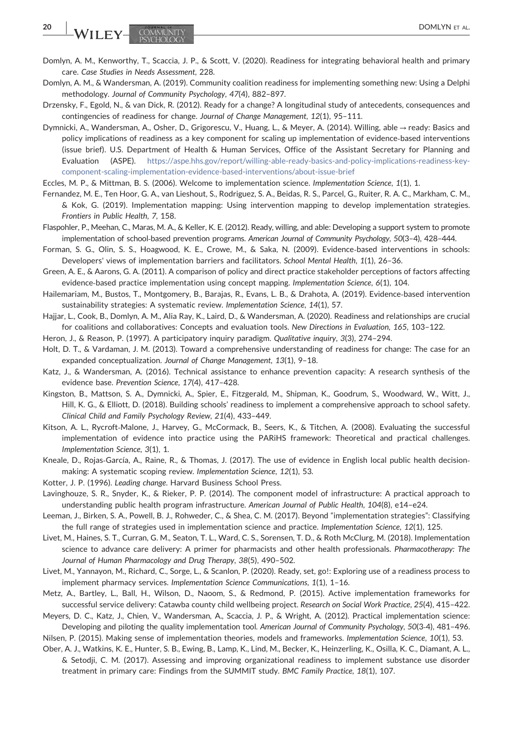- <span id="page-19-11"></span>Domlyn, A. M., Kenworthy, T., Scaccia, J. P., & Scott, V. (2020). Readiness for integrating behavioral health and primary care. Case Studies in Needs Assessment, 228.
- <span id="page-19-10"></span>Domlyn, A. M., & Wandersman, A. (2019). Community coalition readiness for implementing something new: Using a Delphi methodology. Journal of Community Psychology, 47(4), 882–897.
- <span id="page-19-2"></span>Drzensky, F., Egold, N., & van Dick, R. (2012). Ready for a change? A longitudinal study of antecedents, consequences and contingencies of readiness for change. Journal of Change Management, 12(1), 95–111.
- <span id="page-19-19"></span>Dymnicki, A., Wandersman, A., Osher, D., Grigorescu, V., Huang, L., & Meyer, A. (2014). Willing, able → ready: Basics and policy implications of readiness as a key component for scaling up implementation of evidence‐based interventions (issue brief). U.S. Department of Health & Human Services, Office of the Assistant Secretary for Planning and Evaluation (ASPE). [https://aspe.hhs.gov/report/willing-able-ready-basics-and-policy-implications-readiness-key](https://aspe.hhs.gov/report/willing-able-ready-basics-and-policy-implications-readiness-key-component-scaling-implementation-evidence-based-interventions/about-issue-brief)[component-scaling-implementation-evidence-based-interventions/about-issue-brief](https://aspe.hhs.gov/report/willing-able-ready-basics-and-policy-implications-readiness-key-component-scaling-implementation-evidence-based-interventions/about-issue-brief)
- <span id="page-19-3"></span>Eccles, M. P., & Mittman, B. S. (2006). Welcome to implementation science. Implementation Science, 1(1), 1.
- <span id="page-19-25"></span>Fernandez, M. E., Ten Hoor, G. A., van Lieshout, S., Rodriguez, S. A., Beidas, R. S., Parcel, G., Ruiter, R. A. C., Markham, C. M., & Kok, G. (2019). Implementation mapping: Using intervention mapping to develop implementation strategies. Frontiers in Public Health, 7, 158.
- <span id="page-19-5"></span>Flaspohler, P., Meehan, C., Maras, M. A., & Keller, K. E. (2012). Ready, willing, and able: Developing a support system to promote implementation of school‐based prevention programs. American Journal of Community Psychology, 50(3–4), 428–444.
- <span id="page-19-22"></span>Forman, S. G., Olin, S. S., Hoagwood, K. E., Crowe, M., & Saka, N. (2009). Evidence-based interventions in schools: Developers' views of implementation barriers and facilitators. School Mental Health, 1(1), 26–36.
- <span id="page-19-0"></span>Green, A. E., & Aarons, G. A. (2011). A comparison of policy and direct practice stakeholder perceptions of factors affecting evidence-based practice implementation using concept mapping. Implementation Science, 6(1), 104.
- <span id="page-19-21"></span>Hailemariam, M., Bustos, T., Montgomery, B., Barajas, R., Evans, L. B., & Drahota, A. (2019). Evidence‐based intervention sustainability strategies: A systematic review. Implementation Science, 14(1), 57.
- <span id="page-19-24"></span>Hajjar, L., Cook, B., Domlyn, A. M., Alia Ray, K., Laird, D., & Wandersman, A. (2020). Readiness and relationships are crucial for coalitions and collaboratives: Concepts and evaluation tools. New Directions in Evaluation, 165, 103–122.
- <span id="page-19-15"></span>Heron, J., & Reason, P. (1997). A participatory inquiry paradigm. Qualitative inquiry, 3(3), 274–294.
- <span id="page-19-6"></span>Holt, D. T., & Vardaman, J. M. (2013). Toward a comprehensive understanding of readiness for change: The case for an expanded conceptualization. Journal of Change Management, 13(1), 9–18.
- <span id="page-19-18"></span>Katz, J., & Wandersman, A. (2016). Technical assistance to enhance prevention capacity: A research synthesis of the evidence base. Prevention Science, 17(4), 417–428.
- <span id="page-19-14"></span>Kingston, B., Mattson, S. A., Dymnicki, A., Spier, E., Fitzgerald, M., Shipman, K., Goodrum, S., Woodward, W., Witt, J., Hill, K. G., & Elliott, D. (2018). Building schools' readiness to implement a comprehensive approach to school safety. Clinical Child and Family Psychology Review, 21(4), 433–449.
- <span id="page-19-9"></span>Kitson, A. L., Rycroft-Malone, J., Harvey, G., McCormack, B., Seers, K., & Titchen, A. (2008). Evaluating the successful implementation of evidence into practice using the PARiHS framework: Theoretical and practical challenges. Implementation Science, 3(1), 1.
- <span id="page-19-1"></span>Kneale, D., Rojas‐García, A., Raine, R., & Thomas, J. (2017). The use of evidence in English local public health decision‐ making: A systematic scoping review. Implementation Science, 12(1), 53.
- <span id="page-19-7"></span>Kotter, J. P. (1996). Leading change. Harvard Business School Press.
- <span id="page-19-20"></span>Lavinghouze, S. R., Snyder, K., & Rieker, P. P. (2014). The component model of infrastructure: A practical approach to understanding public health program infrastructure. American Journal of Public Health, 104(8), e14–e24.
- <span id="page-19-16"></span>Leeman, J., Birken, S. A., Powell, B. J., Rohweder, C., & Shea, C. M. (2017). Beyond "implementation strategies": Classifying the full range of strategies used in implementation science and practice. Implementation Science, 12(1), 125.
- <span id="page-19-17"></span>Livet, M., Haines, S. T., Curran, G. M., Seaton, T. L., Ward, C. S., Sorensen, T. D., & Roth McClurg, M. (2018). Implementation science to advance care delivery: A primer for pharmacists and other health professionals. Pharmacotherapy: The Journal of Human Pharmacology and Drug Therapy, 38(5), 490–502.
- <span id="page-19-12"></span>Livet, M., Yannayon, M., Richard, C., Sorge, L., & Scanlon, P. (2020). Ready, set, go!: Exploring use of a readiness process to implement pharmacy services. Implementation Science Communications, 1(1), 1–16.
- <span id="page-19-23"></span>Metz, A., Bartley, L., Ball, H., Wilson, D., Naoom, S., & Redmond, P. (2015). Active implementation frameworks for successful service delivery: Catawba county child wellbeing project. Research on Social Work Practice, 25(4), 415–422.
- <span id="page-19-4"></span>Meyers, D. C., Katz, J., Chien, V., Wandersman, A., Scaccia, J. P., & Wright, A. (2012). Practical implementation science: Developing and piloting the quality implementation tool. American Journal of Community Psychology, 50(3‐4), 481–496.
- <span id="page-19-8"></span>Nilsen, P. (2015). Making sense of implementation theories, models and frameworks. Implementation Science, 10(1), 53.
- <span id="page-19-13"></span>Ober, A. J., Watkins, K. E., Hunter, S. B., Ewing, B., Lamp, K., Lind, M., Becker, K., Heinzerling, K., Osilla, K. C., Diamant, A. L., & Setodji, C. M. (2017). Assessing and improving organizational readiness to implement substance use disorder treatment in primary care: Findings from the SUMMIT study. BMC Family Practice, 18(1), 107.